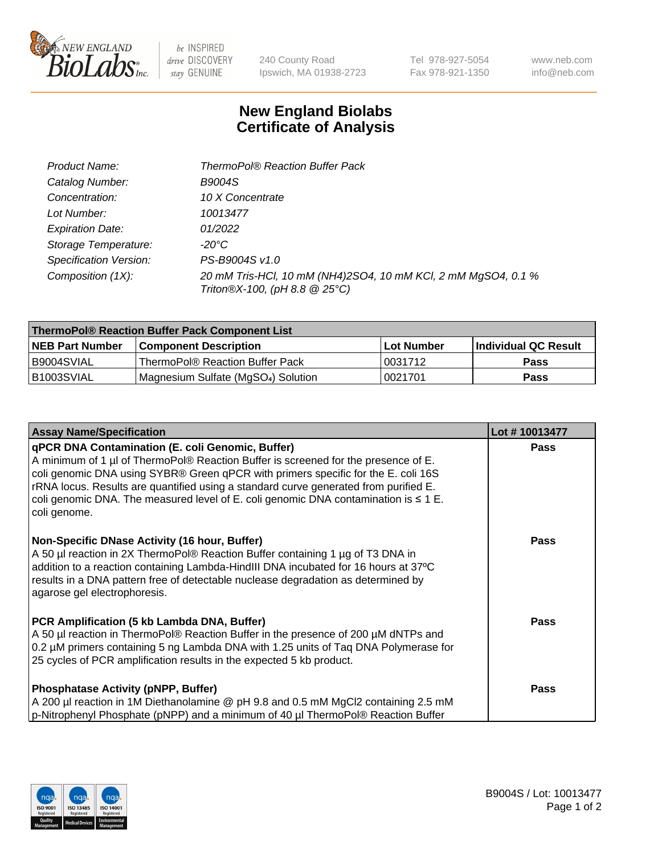

 $be$  INSPIRED drive DISCOVERY stay GENUINE

240 County Road Ipswich, MA 01938-2723

Tel 978-927-5054 Fax 978-921-1350 www.neb.com info@neb.com

## **New England Biolabs Certificate of Analysis**

| Product Name:           | <b>ThermoPol® Reaction Buffer Pack</b>                                                         |
|-------------------------|------------------------------------------------------------------------------------------------|
| Catalog Number:         | <b>B9004S</b>                                                                                  |
| Concentration:          | 10 X Concentrate                                                                               |
| Lot Number:             | 10013477                                                                                       |
| <b>Expiration Date:</b> | 01/2022                                                                                        |
| Storage Temperature:    | -20°C                                                                                          |
| Specification Version:  | PS-B9004S v1.0                                                                                 |
| Composition (1X):       | 20 mM Tris-HCl, 10 mM (NH4)2SO4, 10 mM KCl, 2 mM MgSO4, 0.1 %<br>Triton®X-100, (pH 8.8 @ 25°C) |

| ThermoPol® Reaction Buffer Pack Component List |                                    |            |                             |  |
|------------------------------------------------|------------------------------------|------------|-----------------------------|--|
| <b>NEB Part Number</b>                         | <b>Component Description</b>       | Lot Number | <b>Individual QC Result</b> |  |
| I B9004SVIAL                                   | ThermoPol® Reaction Buffer Pack    | 10031712   | Pass                        |  |
| IB1003SVIAL                                    | Magnesium Sulfate (MgSO4) Solution | 10021701   | Pass                        |  |

| <b>Assay Name/Specification</b>                                                                                                                                                                                                                                                                                                                                                                                                 | Lot #10013477 |
|---------------------------------------------------------------------------------------------------------------------------------------------------------------------------------------------------------------------------------------------------------------------------------------------------------------------------------------------------------------------------------------------------------------------------------|---------------|
| qPCR DNA Contamination (E. coli Genomic, Buffer)<br>A minimum of 1 µl of ThermoPol® Reaction Buffer is screened for the presence of E.<br>coli genomic DNA using SYBR® Green qPCR with primers specific for the E. coli 16S<br>rRNA locus. Results are quantified using a standard curve generated from purified E.<br>coli genomic DNA. The measured level of E. coli genomic DNA contamination is $\leq 1$ E.<br>coli genome. | <b>Pass</b>   |
| Non-Specific DNase Activity (16 hour, Buffer)<br>A 50 µl reaction in 2X ThermoPol® Reaction Buffer containing 1 µg of T3 DNA in<br>addition to a reaction containing Lambda-HindIII DNA incubated for 16 hours at 37°C<br>results in a DNA pattern free of detectable nuclease degradation as determined by<br>agarose gel electrophoresis.                                                                                     | <b>Pass</b>   |
| PCR Amplification (5 kb Lambda DNA, Buffer)<br>A 50 µl reaction in ThermoPol® Reaction Buffer in the presence of 200 µM dNTPs and<br>0.2 µM primers containing 5 ng Lambda DNA with 1.25 units of Taq DNA Polymerase for<br>25 cycles of PCR amplification results in the expected 5 kb product.                                                                                                                                | <b>Pass</b>   |
| <b>Phosphatase Activity (pNPP, Buffer)</b><br>A 200 µl reaction in 1M Diethanolamine @ pH 9.8 and 0.5 mM MgCl2 containing 2.5 mM<br>p-Nitrophenyl Phosphate (pNPP) and a minimum of 40 µl ThermoPol® Reaction Buffer                                                                                                                                                                                                            | Pass          |